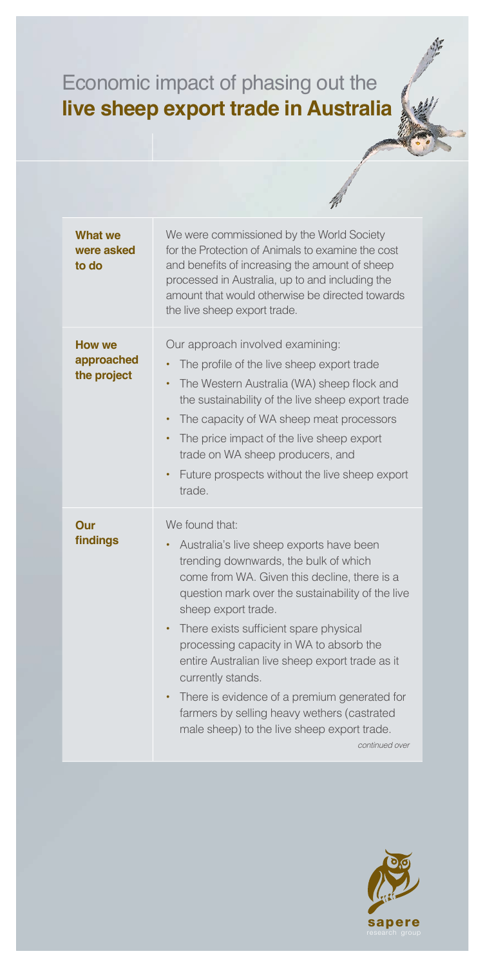## Economic impact of phasing out the **live sheep export trade in Australia**

| <b>What we</b><br>were asked<br>to do | We were commissioned by the World Society<br>for the Protection of Animals to examine the cost<br>and benefits of increasing the amount of sheep<br>processed in Australia, up to and including the<br>amount that would otherwise be directed towards<br>the live sheep export trade.                                                                                                                                                                                                                                                                                         |
|---------------------------------------|--------------------------------------------------------------------------------------------------------------------------------------------------------------------------------------------------------------------------------------------------------------------------------------------------------------------------------------------------------------------------------------------------------------------------------------------------------------------------------------------------------------------------------------------------------------------------------|
| How we<br>approached<br>the project   | Our approach involved examining:<br>The profile of the live sheep export trade<br>The Western Australia (WA) sheep flock and<br>٠<br>the sustainability of the live sheep export trade<br>The capacity of WA sheep meat processors<br>$\bullet$<br>The price impact of the live sheep export<br>trade on WA sheep producers, and<br>Future prospects without the live sheep export<br>٠<br>trade.                                                                                                                                                                              |
| Our<br>findings                       | We found that:<br>Australia's live sheep exports have been<br>trending downwards, the bulk of which<br>come from WA. Given this decline, there is a<br>question mark over the sustainability of the live<br>sheep export trade.<br>There exists sufficient spare physical<br>٠<br>processing capacity in WA to absorb the<br>entire Australian live sheep export trade as it<br>currently stands.<br>There is evidence of a premium generated for<br>$\bullet$<br>farmers by selling heavy wethers (castrated<br>male sheep) to the live sheep export trade.<br>continued over |